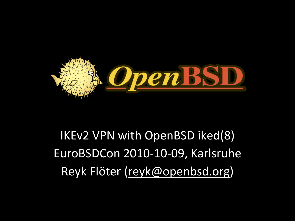

#### IKEv2 VPN with OpenBSD iked(8) EuroBSDCon 2010-10-09, Karlsruhe Reyk Flöter [\(reyk@openbsd.org\)](mailto:reyk@vantronix.net)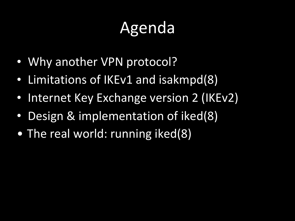# Agenda

- Why another VPN protocol?
- Limitations of IKEv1 and isakmpd(8)
- Internet Key Exchange version 2 (IKEv2)
- Design & implementation of iked(8)
- The real world: running iked(8)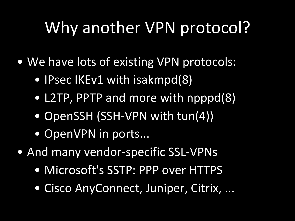## Why another VPN protocol?

- We have lots of existing VPN protocols:
	- IPsec IKEv1 with isakmpd(8)
	- L2TP, PPTP and more with npppd(8)
	- OpenSSH (SSH-VPN with tun(4))
	- OpenVPN in ports...
- And many vendor-specific SSL-VPNs
	- Microsoft's SSTP: PPP over HTTPS
	- Cisco AnyConnect, Juniper, Citrix, ...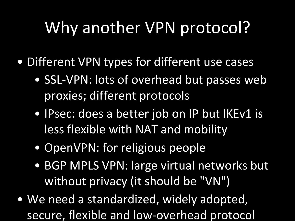## Why another VPN protocol?

- Different VPN types for different use cases
	- SSL-VPN: lots of overhead but passes web proxies; different protocols
	- IPsec: does a better job on IP but IKEv1 is less flexible with NAT and mobility
	- OpenVPN: for religious people
	- BGP MPLS VPN: large virtual networks but without privacy (it should be "VN")
- We need a standardized, widely adopted, secure, flexible and low-overhead protocol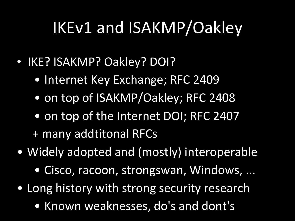## IKEv1 and ISAKMP/Oakley

- IKE? ISAKMP? Oakley? DOI?
	- Internet Key Exchange; RFC 2409
	- on top of ISAKMP/Oakley; RFC 2408
	- on top of the Internet DOI; RFC 2407 + many addtitonal RFCs
- Widely adopted and (mostly) interoperable
	- Cisco, racoon, strongswan, Windows, ...
- Long history with strong security research
	- Known weaknesses, do's and dont's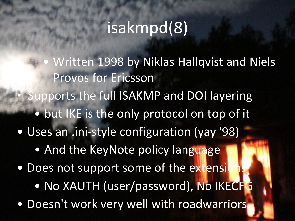#### isakmpd(8)

Written 1998 by Niklas Hallqvist and Niels Provos for Ericsson Supports the full ISAKMP and DOI layering • but IKE is the only protocol on top of it • Uses an .ini-style configuration (yay '98) • And the KeyNote policy language • Does not support some of the extension • No XAUTH (user/password), No IKECFG • Doesn't work very well with roadwarriors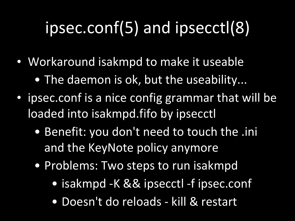# ipsec.conf(5) and ipsecctl(8)

- Workaround isakmpd to make it useable
	- The daemon is ok, but the useability...
- $\cdot$  ipsec.conf is a nice config grammar that will be loaded into isakmpd.fifo by ipsecctl
	- Benefit: you don't need to touch the .ini and the KeyNote policy anymore
	- Problems: Two steps to run isakmpd
		- isakmpd -K && ipsecctl -f ipsec.conf
		- Doesn't do reloads kill & restart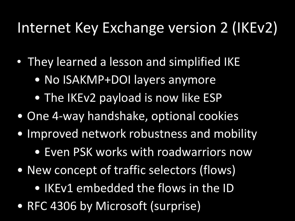#### Internet Key Exchange version 2 (IKEv2)

- They learned a lesson and simplified IKE
	- No ISAKMP+DOI layers anymore
	- The IKEv2 payload is now like ESP
- One 4-way handshake, optional cookies
- Improved network robustness and mobility
	- Even PSK works with roadwarriors now
- New concept of traffic selectors (flows)
	- IKEv1 embedded the flows in the ID
- RFC 4306 by Microsoft (surprise)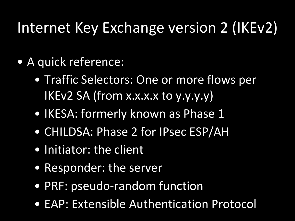#### Internet Key Exchange version 2 (IKEv2)

- A quick reference:
	- Traffic Selectors: One or more flows per IKEv2 SA (from x.x.x.x to y.y.y.y)
	- IKESA: formerly known as Phase 1
	- CHILDSA: Phase 2 for IPsec ESP/AH
	- Initiator: the client
	- Responder: the server
	- PRF: pseudo-random function
	- EAP: Extensible Authentication Protocol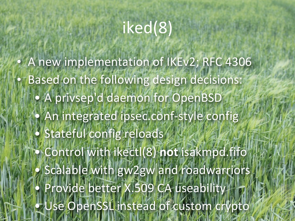### iked(8)

• A new implementation of IKEv2; RFC 4306 Based on the following design decisions: • A privsep'd daemon for OpenBSD • An integrated ipsec.conf-style config · Stateful config reloads • Control&with&ikectl(8)&**not**&isakmpd.fifo • Scalable with gw2gw and roadwarriors • Provide better X.509 CA useability  $\bullet$  Use OpenSSL instead of custom crypto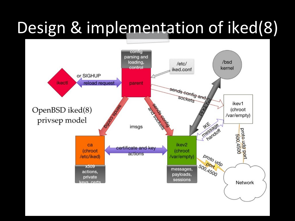# Design & implementation of iked(8)

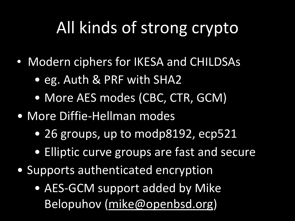## All kinds of strong crypto

- Modern ciphers for IKESA and CHILDSAs
	- eg. Auth & PRF with SHA2
	- More AES modes (CBC, CTR, GCM)
- More Diffie-Hellman modes
	- 26 groups, up to modp8192, ecp521
	- Elliptic curve groups are fast and secure
- Supports authenticated encryption
	- AES-GCM support added by Mike Belopuhov [\(mike@openbsd.org](mailto:mike@openbsd.org))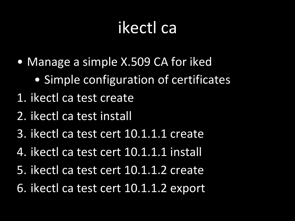### ikectl ca

- Manage a simple X.509 CA for iked
	- Simple configuration of certificates
- 1. ikectl ca test create
- 2. ikectl ca test install
- 3. ikectl ca test cert 10.1.1.1 create
- 4. ikectl ca test cert 10.1.1.1 install
- 5. ikectl ca test cert 10.1.1.2 create
- 6. ikectl ca test cert 10.1.1.2 export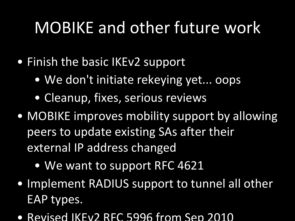### MOBIKE and other future work

- Finish the basic IKEv2 support
	- We don't initiate rekeying yet... oops
	- Cleanup, fixes, serious reviews
- MOBIKE improves mobility support by allowing peers to update existing SAs after their external IP address changed
	- We want to support RFC 4621
- Implement RADIUS support to tunnel all other EAP types.
- Revised IKEv2 RFC 5996 from Sep 2010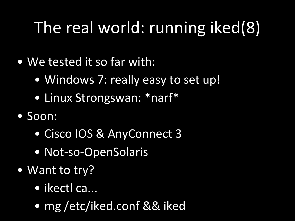# The real world: running iked(8)

- We tested it so far with:
	- Windows 7: really easy to set up!
	- Linux Strongswan: \*narf\*
- Soon:
	- Cisco IOS & AnyConnect 3
	- Not-so-OpenSolaris
- Want to try?
	- ikectl ca...
	- mg /etc/iked.conf && iked